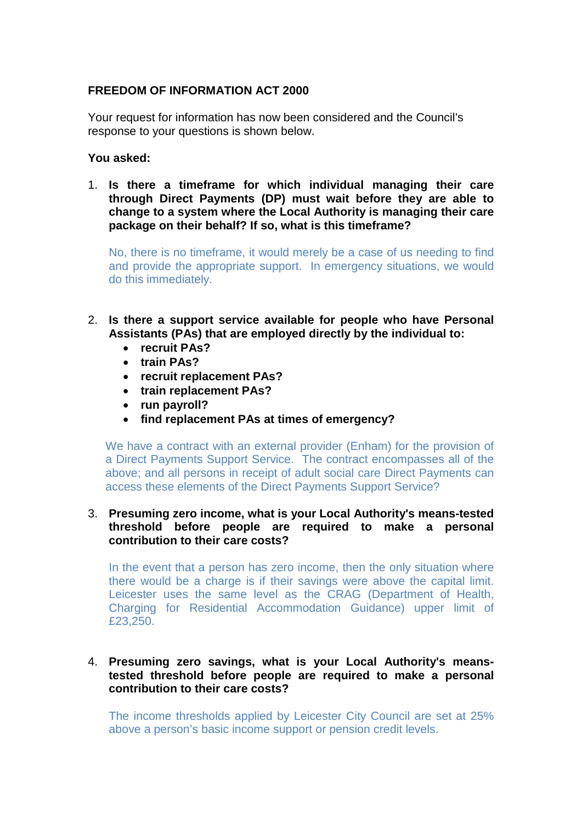# **FREEDOM OF INFORMATION ACT 2000**

Your request for information has now been considered and the Council's response to your questions is shown below.

## **You asked:**

1. **Is there a timeframe for which individual managing their care through Direct Payments (DP) must wait before they are able to change to a system where the Local Authority is managing their care package on their behalf? If so, what is this timeframe?**

No, there is no timeframe, it would merely be a case of us needing to find and provide the appropriate support. In emergency situations, we would do this immediately.

- 2. **Is there a support service available for people who have Personal Assistants (PAs) that are employed directly by the individual to:**
	- **recruit PAs?**
	- **train PAs?**
	- **recruit replacement PAs?**
	- **train replacement PAs?**
	- **run payroll?**
	- **find replacement PAs at times of emergency?**

We have a contract with an external provider (Enham) for the provision of a Direct Payments Support Service. The contract encompasses all of the above; and all persons in receipt of adult social care Direct Payments can access these elements of the Direct Payments Support Service?

## 3. **Presuming zero income, what is your Local Authority's means-tested threshold before people are required to make a personal contribution to their care costs?**

In the event that a person has zero income, then the only situation where there would be a charge is if their savings were above the capital limit. Leicester uses the same level as the CRAG (Department of Health, Charging for Residential Accommodation Guidance) upper limit of £23,250.

#### 4. **Presuming zero savings, what is your Local Authority's meanstested threshold before people are required to make a personal contribution to their care costs?**

The income thresholds applied by Leicester City Council are set at 25% above a person's basic income support or pension credit levels.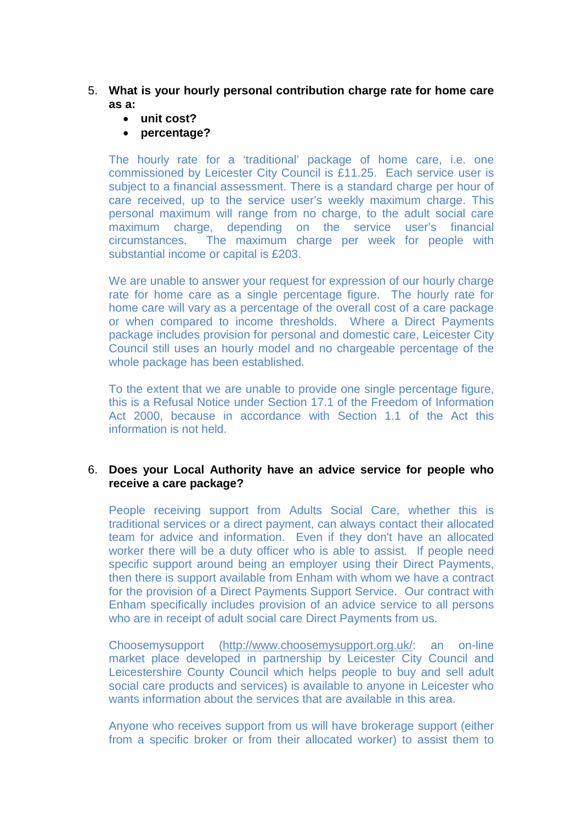# 5. **What is your hourly personal contribution charge rate for home care as a:**

- **unit cost?**
- **percentage?**

The hourly rate for a 'traditional' package of home care, i.e. one commissioned by Leicester City Council is £11.25. Each service user is subject to a financial assessment. There is a standard charge per hour of care received, up to the service user's weekly maximum charge. This personal maximum will range from no charge, to the adult social care maximum charge, depending on the service user's financial circumstances. The maximum charge per week for people with substantial income or capital is £203.

We are unable to answer your request for expression of our hourly charge rate for home care as a single percentage figure. The hourly rate for home care will vary as a percentage of the overall cost of a care package or when compared to income thresholds. Where a Direct Payments package includes provision for personal and domestic care, Leicester City Council still uses an hourly model and no chargeable percentage of the whole package has been established.

To the extent that we are unable to provide one single percentage figure, this is a Refusal Notice under Section 17.1 of the Freedom of Information Act 2000, because in accordance with Section 1.1 of the Act this information is not held.

## 6. **Does your Local Authority have an advice service for people who receive a care package?**

People receiving support from Adults Social Care, whether this is traditional services or a direct payment, can always contact their allocated team for advice and information. Even if they don't have an allocated worker there will be a duty officer who is able to assist. If people need specific support around being an employer using their Direct Payments, then there is support available from Enham with whom we have a contract for the provision of a Direct Payments Support Service. Our contract with Enham specifically includes provision of an advice service to all persons who are in receipt of adult social care Direct Payments from us.

Choosemysupport [\(http://www.choosemysupport.org.uk/:](http://www.choosemysupport.org.uk/) an on-line market place developed in partnership by Leicester City Council and Leicestershire County Council which helps people to buy and sell adult social care products and services) is available to anyone in Leicester who wants information about the services that are available in this area.

Anyone who receives support from us will have brokerage support (either from a specific broker or from their allocated worker) to assist them to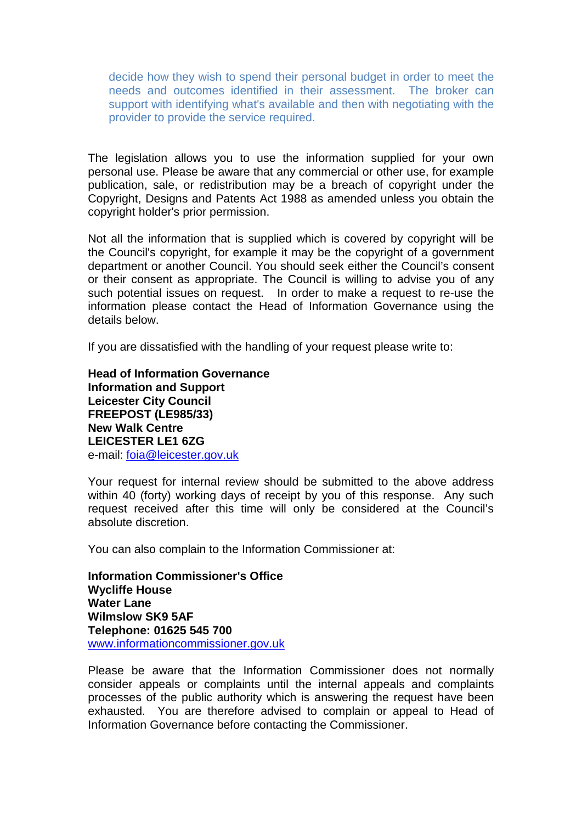decide how they wish to spend their personal budget in order to meet the needs and outcomes identified in their assessment. The broker can support with identifying what's available and then with negotiating with the provider to provide the service required.

The legislation allows you to use the information supplied for your own personal use. Please be aware that any commercial or other use, for example publication, sale, or redistribution may be a breach of copyright under the Copyright, Designs and Patents Act 1988 as amended unless you obtain the copyright holder's prior permission.

Not all the information that is supplied which is covered by copyright will be the Council's copyright, for example it may be the copyright of a government department or another Council. You should seek either the Council's consent or their consent as appropriate. The Council is willing to advise you of any such potential issues on request. In order to make a request to re-use the information please contact the Head of Information Governance using the details below.

If you are dissatisfied with the handling of your request please write to:

**Head of Information Governance Information and Support Leicester City Council FREEPOST (LE985/33) New Walk Centre LEICESTER LE1 6ZG**  e-mail: [foia@leicester.gov.uk](mailto:foia@leicester.gov.uk) 

Your request for internal review should be submitted to the above address within 40 (forty) working days of receipt by you of this response. Any such request received after this time will only be considered at the Council's absolute discretion.

You can also complain to the Information Commissioner at:

**Information Commissioner's Office Wycliffe House Water Lane Wilmslow SK9 5AF Telephone: 01625 545 700**  www.informationcommissioner.gov.uk

Please be aware that the Information Commissioner does not normally consider appeals or complaints until the internal appeals and complaints processes of the public authority which is answering the request have been exhausted. You are therefore advised to complain or appeal to Head of Information Governance before contacting the Commissioner.